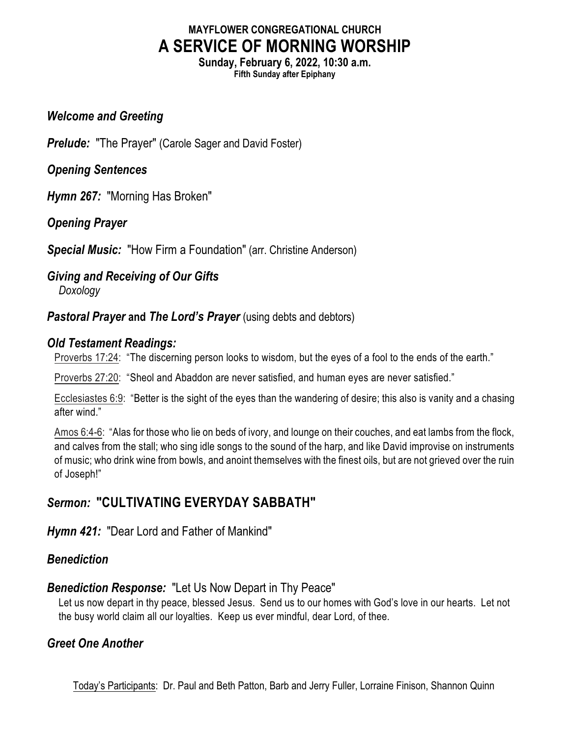# **MAYFLOWER CONGREGATIONAL CHURCH A SERVICE OF MORNING WORSHIP**

**Sunday, February 6, 2022, 10:30 a.m. Fifth Sunday after Epiphany**

#### *Welcome and Greeting*

*Prelude:* "The Prayer" (Carole Sager and David Foster)

*Opening Sentences*

*Hymn 267:* "Morning Has Broken"

*Opening Prayer*

*Special Music:* "How Firm a Foundation" (arr. Christine Anderson)

#### *Giving and Receiving of Our Gifts*

*Doxology*

*Pastoral Prayer and The Lord's Prayer* (using debts and debtors)

#### *Old Testament Readings:*

Proverbs 17:24: "The discerning person looks to wisdom, but the eyes of a fool to the ends of the earth."

Proverbs 27:20: "Sheol and Abaddon are never satisfied, and human eyes are never satisfied."

Ecclesiastes 6:9: "Better is the sight of the eyes than the wandering of desire; this also is vanity and a chasing after wind."

Amos 6:4-6: "Alas for those who lie on beds of ivory, and lounge on their couches, and eat lambs from the flock, and calves from the stall; who sing idle songs to the sound of the harp, and like David improvise on instruments of music; who drink wine from bowls, and anoint themselves with the finest oils, but are not grieved over the ruin of Joseph!"

# *Sermon:* **"CULTIVATING EVERYDAY SABBATH"**

## *Hymn 421:* "Dear Lord and Father of Mankind"

## *Benediction*

## *Benediction Response:* "Let Us Now Depart in Thy Peace"

Let us now depart in thy peace, blessed Jesus. Send us to our homes with God's love in our hearts. Let not the busy world claim all our loyalties. Keep us ever mindful, dear Lord, of thee.

## *Greet One Another*

Today's Participants: Dr. Paul and Beth Patton, Barb and Jerry Fuller, Lorraine Finison, Shannon Quinn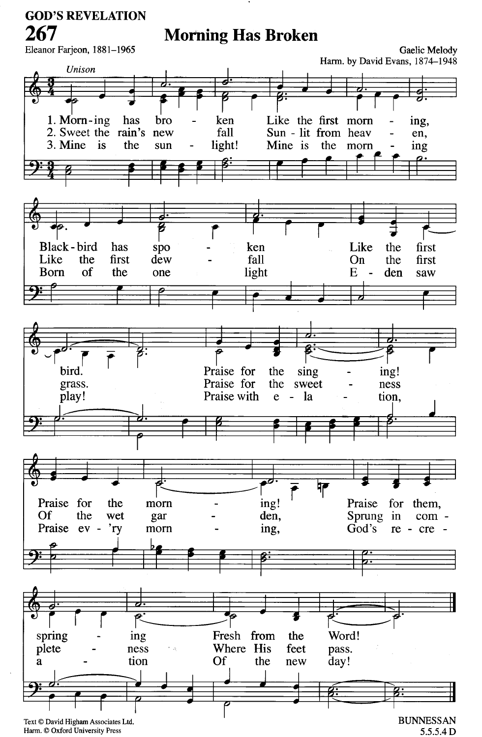#### **GOD'S REVELATION**

267

# **Morning Has Broken**



Harm. © Oxford University Press

5.5.5.4 D